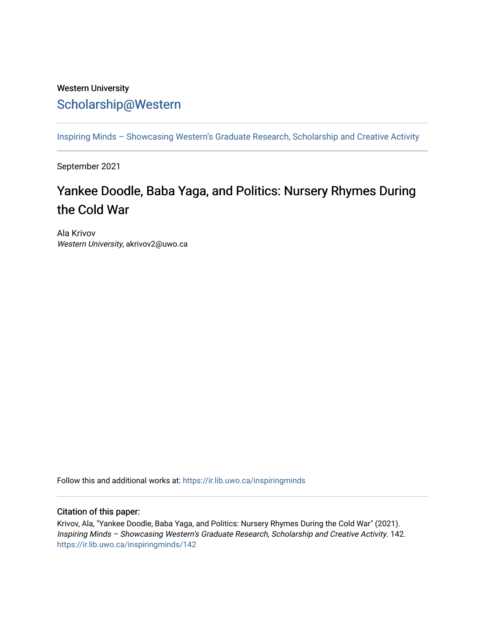## Western University [Scholarship@Western](https://ir.lib.uwo.ca/)

[Inspiring Minds – Showcasing Western's Graduate Research, Scholarship and Creative Activity](https://ir.lib.uwo.ca/inspiringminds) 

September 2021

## Yankee Doodle, Baba Yaga, and Politics: Nursery Rhymes During the Cold War

Ala Krivov Western University, akrivov2@uwo.ca

Follow this and additional works at: [https://ir.lib.uwo.ca/inspiringminds](https://ir.lib.uwo.ca/inspiringminds?utm_source=ir.lib.uwo.ca%2Finspiringminds%2F142&utm_medium=PDF&utm_campaign=PDFCoverPages) 

## Citation of this paper:

Krivov, Ala, "Yankee Doodle, Baba Yaga, and Politics: Nursery Rhymes During the Cold War" (2021). Inspiring Minds – Showcasing Western's Graduate Research, Scholarship and Creative Activity. 142. [https://ir.lib.uwo.ca/inspiringminds/142](https://ir.lib.uwo.ca/inspiringminds/142?utm_source=ir.lib.uwo.ca%2Finspiringminds%2F142&utm_medium=PDF&utm_campaign=PDFCoverPages)